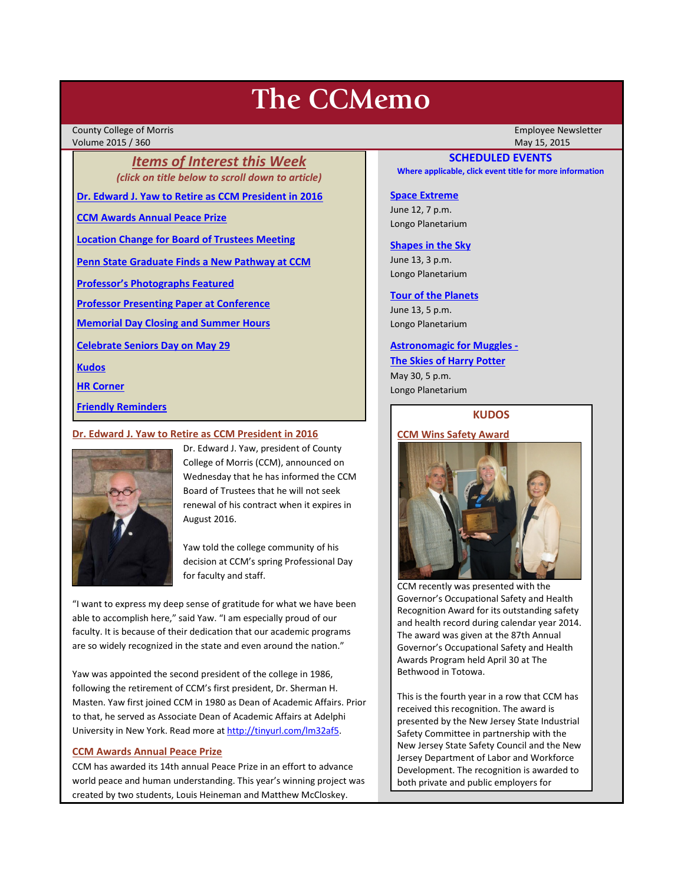# **The CCMemo**

County College of Morris Employee Newsletter Volume 2015 / 360

*Items of Interest this Week (click on title below to scroll down to article)*

**[Dr. Edward J. Yaw to Retire as CCM President in 2016](#page-0-0)**

**[CCM Awards Annual Peace Prize](#page-0-1)**

**[Location Change for Board of Trustees Meeting](#page-1-0)**

**[Penn State Graduate Finds a New Pathway at CCM](#page-1-1)**

**[Professor's Photographs Featured](#page-2-0)**

**[Professor Presenting Paper at Conference](#page-2-1)**

**[Memorial Day Closing and Summer Hours](#page-2-2)**

**[Celebrate Seniors Day on May 29](#page-2-3)**

**[Kudos](#page-0-2)**

**[HR Corner](#page-2-4)**

**[Friendly Reminders](#page-1-2)**

#### <span id="page-0-0"></span>**Dr. Edward J. Yaw to Retire as CCM President in 2016**



Dr. Edward J. Yaw, president of County College of Morris (CCM), announced on Wednesday that he has informed the CCM Board of Trustees that he will not seek renewal of his contract when it expires in August 2016.

Yaw told the college community of his decision at CCM's spring Professional Day for faculty and staff.

"I want to express my deep sense of gratitude for what we have been able to accomplish here," said Yaw. "I am especially proud of our faculty. It is because of their dedication that our academic programs are so widely recognized in the state and even around the nation."

Yaw was appointed the second president of the college in 1986, following the retirement of CCM's first president, Dr. Sherman H. Masten. Yaw first joined CCM in 1980 as Dean of Academic Affairs. Prior to that, he served as Associate Dean of Academic Affairs at Adelphi University in New York. Read more a[t http://tinyurl.com/lm32af5.](http://tinyurl.com/lm32af5) 

#### <span id="page-0-1"></span>**CCM Awards Annual Peace Prize**

CCM has awarded its 14th annual Peace Prize in an effort to advance world peace and human understanding. This year's winning project was created by two students, Louis Heineman and Matthew McCloskey.

## **SCHEDULED EVENTS**

**Where applicable, click event title for more information**

## **[Space Extreme](http://www.ccm.edu/newsEvents/eventDetails.aspx?Channel=/Channels/Sitewide&WorkflowItemID=1874a4b0-0bcb-4ed1-a29e-7b4f8d25e45d)**

June 12, 7 p.m. Longo Planetarium

#### **[Shapes in the Sky](http://www.ccm.edu/newsEvents/eventDetails.aspx?Channel=/Channels/Sitewide&WorkflowItemID=1922c928-86d3-4e75-b6a2-fd618033989c)**

June 13, 3 p.m. Longo Planetarium

## **[Tour of the Planets](http://www.ccm.edu/newsEvents/eventDetails.aspx?Channel=/Channels/Sitewide&WorkflowItemID=5834aa20-68ba-4fa2-a3ac-75b2311ba441)**

June 13, 5 p.m. Longo Planetarium

#### **[Astronomagic for Muggles -](http://www.ccm.edu/newsEvents/eventDetails.aspx?Channel=/Channels/Sitewide&WorkflowItemID=ea817282-906a-483e-b8be-410fba055cc4)**

**The Skies of Harry Potter** May 30, 5 p.m. Longo Planetarium

## **KUDOS**

## <span id="page-0-2"></span>**CCM Wins Safety Award**



CCM recently was presented with the Governor's Occupational Safety and Health Recognition Award for its outstanding safety and health record during calendar year 2014. The award was given at the 87th Annual Governor's Occupational Safety and Health Awards Program held April 30 at The Bethwood in Totowa.

This is the fourth year in a row that CCM has received this recognition. The award is presented by the New Jersey State Industrial Safety Committee in partnership with the New Jersey State Safety Council and the New Jersey Department of Labor and Workforce Development. The recognition is awarded to both private and public employers for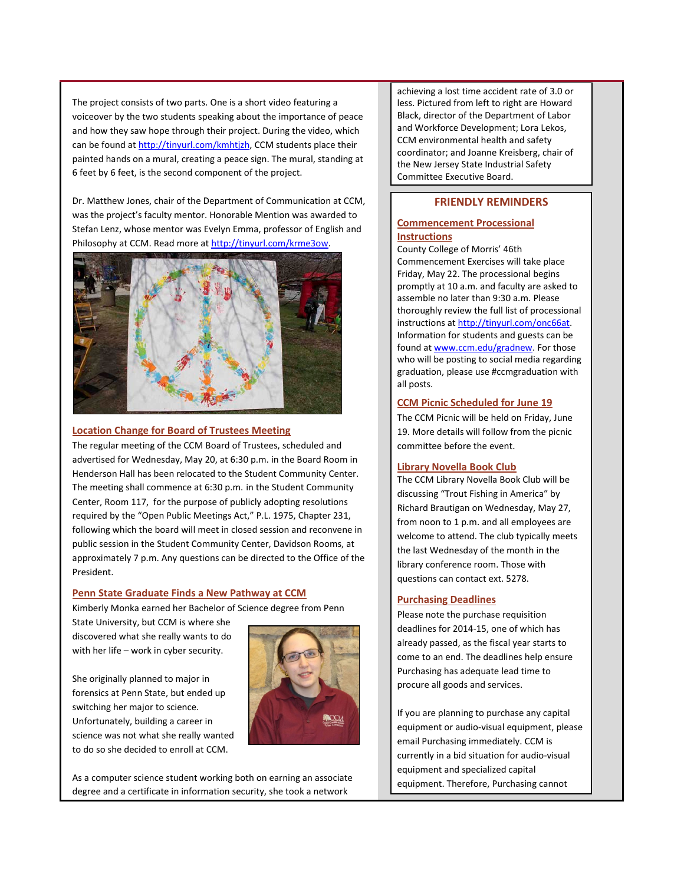The project consists of two parts. One is a short video featuring a voiceover by the two students speaking about the importance of peace and how they saw hope through their project. During the video, which can be found at [http://tinyurl.com/kmhtjzh,](http://tinyurl.com/kmhtjzh) CCM students place their painted hands on a mural, creating a peace sign. The mural, standing at 6 feet by 6 feet, is the second component of the project.

Dr. Matthew Jones, chair of the Department of Communication at CCM, was the project's faculty mentor. Honorable Mention was awarded to Stefan Lenz, whose mentor was Evelyn Emma, professor of English and Philosophy at CCM. Read more a[t http://tinyurl.com/krme3ow.](http://tinyurl.com/krme3ow)



## <span id="page-1-0"></span>**Location Change for Board of Trustees Meeting**

The regular meeting of the CCM Board of Trustees, scheduled and advertised for Wednesday, May 20, at 6:30 p.m. in the Board Room in Henderson Hall has been relocated to the Student Community Center. The meeting shall commence at 6:30 p.m. in the Student Community Center, Room 117, for the purpose of publicly adopting resolutions required by the "Open Public Meetings Act," P.L. 1975, Chapter 231, following which the board will meet in closed session and reconvene in public session in the Student Community Center, Davidson Rooms, at approximately 7 p.m. Any questions can be directed to the Office of the President.

## <span id="page-1-1"></span>**Penn State Graduate Finds a New Pathway at CCM**

Kimberly Monka earned her Bachelor of Science degree from Penn

State University, but CCM is where she discovered what she really wants to do with her life – work in cyber security.

She originally planned to major in forensics at Penn State, but ended up switching her major to science. Unfortunately, building a career in science was not what she really wanted to do so she decided to enroll at CCM.



As a computer science student working both on earning an associate degree and a certificate in information security, she took a network

achieving a lost time accident rate of 3.0 or less. Pictured from left to right are Howard Black, director of the Department of Labor and Workforce Development; Lora Lekos, CCM environmental health and safety coordinator; and Joanne Kreisberg, chair of the New Jersey State Industrial Safety Committee Executive Board.

# **FRIENDLY REMINDERS**

## <span id="page-1-2"></span>**Commencement Processional Instructions**

County College of Morris' 46th Commencement Exercises will take place Friday, May 22. The processional begins promptly at 10 a.m. and faculty are asked to assemble no later than 9:30 a.m. Please thoroughly review the full list of processional instructions a[t http://tinyurl.com/onc66at.](http://tinyurl.com/onc66at) Information for students and guests can be found a[t www.ccm.edu/gradnew.](http://www.ccm.edu/gradnew) For those who will be posting to social media regarding graduation, please use #ccmgraduation with all posts.

## **CCM Picnic Scheduled for June 19**

The CCM Picnic will be held on Friday, June 19. More details will follow from the picnic committee before the event.

## **Library Novella Book Club**

The CCM Library Novella Book Club will be discussing "Trout Fishing in America" by Richard Brautigan on Wednesday, May 27, from noon to 1 p.m. and all employees are welcome to attend. The club typically meets the last Wednesday of the month in the library conference room. Those with questions can contact ext. 5278.

#### **Purchasing Deadlines**

Please note the purchase requisition deadlines for 2014-15, one of which has already passed, as the fiscal year starts to come to an end. The deadlines help ensure Purchasing has adequate lead time to procure all goods and services.

If you are planning to purchase any capital equipment or audio-visual equipment, please email Purchasing immediately. CCM is currently in a bid situation for audio-visual equipment and specialized capital equipment. Therefore, Purchasing cannot